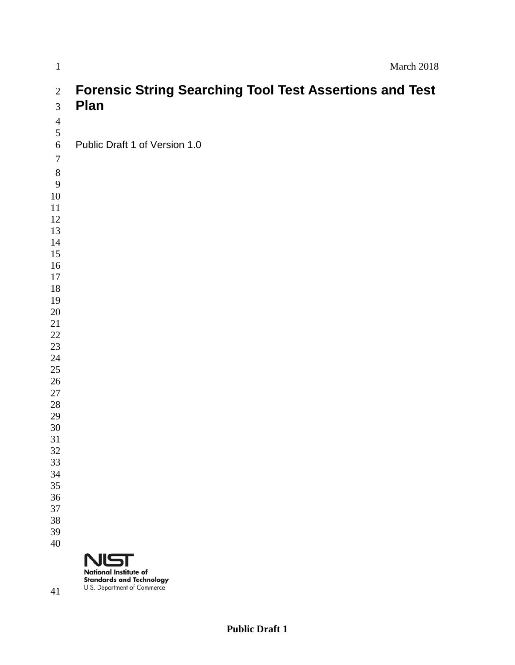| $\mathbf{1}$                                | March 2018                                                                                     |
|---------------------------------------------|------------------------------------------------------------------------------------------------|
| $\overline{2}$<br>$\overline{3}$            | <b>Forensic String Searching Tool Test Assertions and Test</b><br><b>Plan</b>                  |
| $\overline{4}$<br>$\sqrt{5}$<br>6<br>$\tau$ | Public Draft 1 of Version 1.0                                                                  |
| $\,8\,$<br>$\overline{9}$<br>10<br>11       |                                                                                                |
| 12<br>13<br>14                              |                                                                                                |
| 15<br>16<br>17<br>$18\,$                    |                                                                                                |
| 19<br>20<br>21<br>22                        |                                                                                                |
| 23<br>24<br>25<br>26                        |                                                                                                |
| 27<br>28<br>29<br>30                        |                                                                                                |
| 31<br>32<br>33<br>34                        |                                                                                                |
| 35<br>36<br>37                              |                                                                                                |
| 38<br>39<br>40                              | <b>NIST</b>                                                                                    |
| 41                                          | <b>National Institute of</b><br><b>Standards and Technology</b><br>U.S. Department of Commerce |

**Public Draft 1**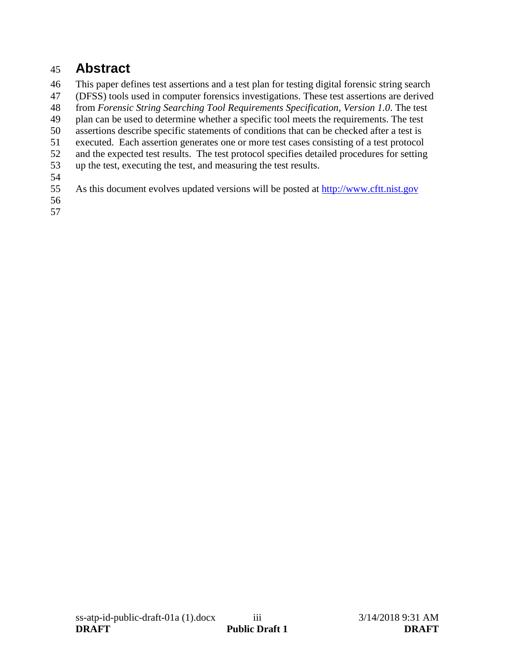# <span id="page-2-0"></span>**Abstract**

This paper defines test assertions and a test plan for testing digital forensic string search

(DFSS) tools used in computer forensics investigations. These test assertions are derived

from *Forensic String Searching Tool Requirements Specification, Version 1.0*. The test

plan can be used to determine whether a specific tool meets the requirements. The test

- assertions describe specific statements of conditions that can be checked after a test is
- executed. Each assertion generates one or more test cases consisting of a test protocol
- 52 and the expected test results. The test protocol specifies detailed procedures for setting up the test, executing the test, and measuring the test results.
- up the test, executing the test, and measuring the test results.
- 
- As this document evolves updated versions will be posted at [http://www.cftt.nist.gov](http://www.cftt.nist.gov/)
-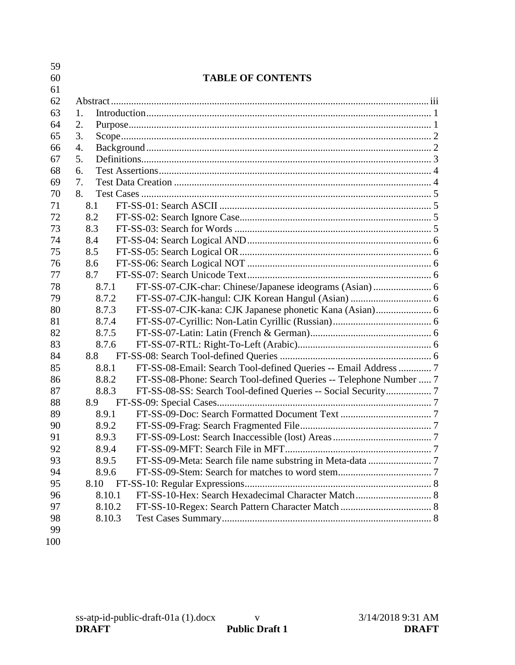| 59  |        |                                                                    |  |
|-----|--------|--------------------------------------------------------------------|--|
| 60  |        | <b>TABLE OF CONTENTS</b>                                           |  |
| 61  |        |                                                                    |  |
| 62  |        |                                                                    |  |
| 63  | 1.     |                                                                    |  |
| 64  | 2.     |                                                                    |  |
| 65  | 3.     |                                                                    |  |
| 66  | 4.     |                                                                    |  |
| 67  | 5.     |                                                                    |  |
| 68  | 6.     |                                                                    |  |
| 69  | 7.     |                                                                    |  |
| 70  | 8.     |                                                                    |  |
| 71  | 8.1    |                                                                    |  |
| 72  | 8.2    |                                                                    |  |
| 73  | 8.3    |                                                                    |  |
| 74  | 8.4    |                                                                    |  |
| 75  | 8.5    |                                                                    |  |
| 76  | 8.6    |                                                                    |  |
| 77  | 8.7    |                                                                    |  |
| 78  | 8.7.1  |                                                                    |  |
| 79  | 8.7.2  |                                                                    |  |
| 80  | 8.7.3  |                                                                    |  |
| 81  | 8.7.4  |                                                                    |  |
| 82  | 8.7.5  |                                                                    |  |
| 83  | 8.7.6  |                                                                    |  |
| 84  | 8.8    |                                                                    |  |
| 85  | 8.8.1  | FT-SS-08-Email: Search Tool-defined Queries -- Email Address  7    |  |
| 86  | 8.8.2  | FT-SS-08-Phone: Search Tool-defined Queries -- Telephone Number  7 |  |
| 87  | 8.8.3  | FT-SS-08-SS: Search Tool-defined Queries -- Social Security 7      |  |
| 88  | 8.9    |                                                                    |  |
| 89  | 8.9.1  |                                                                    |  |
| 90  | 8.9.2  |                                                                    |  |
| 91  | 8.9.3  |                                                                    |  |
| 92  | 8.9.4  |                                                                    |  |
| 93  | 8.9.5  |                                                                    |  |
| 94  | 8.9.6  |                                                                    |  |
| 95  | 8.10   |                                                                    |  |
| 96  | 8.10.1 |                                                                    |  |
| 97  | 8.10.2 |                                                                    |  |
| 98  | 8.10.3 |                                                                    |  |
| 99  |        |                                                                    |  |
| 100 |        |                                                                    |  |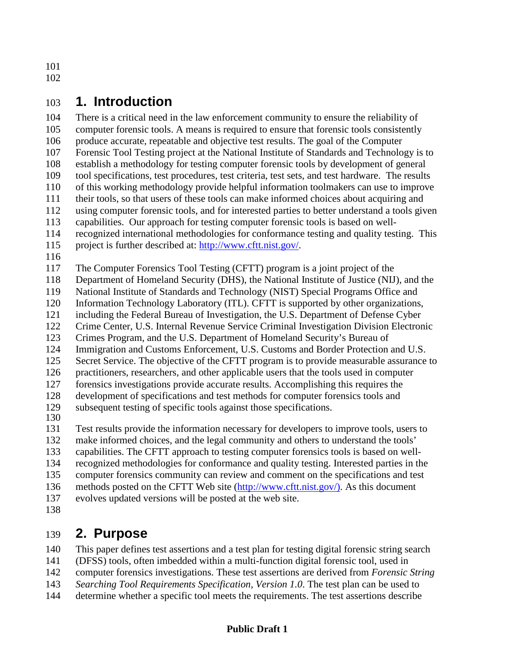# <span id="page-5-0"></span>**1. Introduction**

 There is a critical need in the law enforcement community to ensure the reliability of computer forensic tools. A means is required to ensure that forensic tools consistently produce accurate, repeatable and objective test results. The goal of the Computer Forensic Tool Testing project at the National Institute of Standards and Technology is to establish a methodology for testing computer forensic tools by development of general tool specifications, test procedures, test criteria, test sets, and test hardware. The results of this working methodology provide helpful information toolmakers can use to improve their tools, so that users of these tools can make informed choices about acquiring and using computer forensic tools, and for interested parties to better understand a tools given capabilities. Our approach for testing computer forensic tools is based on well- recognized international methodologies for conformance testing and quality testing. This project is further described at: http://www.cftt.nist.gov/.

The Computer Forensics Tool Testing (CFTT) program is a joint project of the

Department of Homeland Security (DHS), the National Institute of Justice (NIJ), and the

National Institute of Standards and Technology (NIST) Special Programs Office and

Information Technology Laboratory (ITL). CFTT is supported by other organizations,

including the Federal Bureau of Investigation, the U.S. Department of Defense Cyber

Crime Center, U.S. Internal Revenue Service Criminal Investigation Division Electronic

 Crimes Program, and the U.S. Department of Homeland Security's Bureau of Immigration and Customs Enforcement, U.S. Customs and Border Protection and U.S.

Secret Service. The objective of the CFTT program is to provide measurable assurance to

practitioners, researchers, and other applicable users that the tools used in computer

forensics investigations provide accurate results. Accomplishing this requires the

development of specifications and test methods for computer forensics tools and

subsequent testing of specific tools against those specifications.

Test results provide the information necessary for developers to improve tools, users to

make informed choices, and the legal community and others to understand the tools'

capabilities. The CFTT approach to testing computer forensics tools is based on well-

recognized methodologies for conformance and quality testing. Interested parties in the

computer forensics community can review and comment on the specifications and test

- methods posted on the CFTT Web site [\(http://www.cftt.nist.gov/\).](http://www.cftt.nist.gov/)) As this document
- evolves updated versions will be posted at the web site.
- 

# <span id="page-5-1"></span>**2. Purpose**

This paper defines test assertions and a test plan for testing digital forensic string search

(DFSS) tools, often imbedded within a multi-function digital forensic tool, used in

computer forensics investigations. These test assertions are derived from *Forensic String* 

*Searching Tool Requirements Specification, Version 1.0*. The test plan can be used to

determine whether a specific tool meets the requirements. The test assertions describe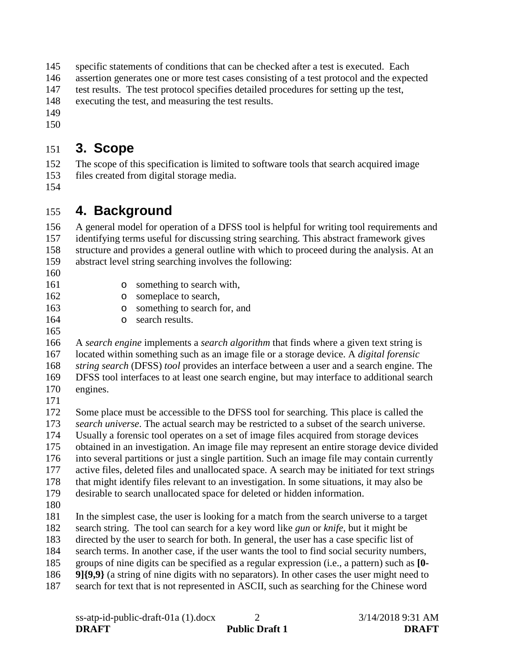specific statements of conditions that can be checked after a test is executed. Each

assertion generates one or more test cases consisting of a test protocol and the expected

test results. The test protocol specifies detailed procedures for setting up the test,

executing the test, and measuring the test results.

- 
- 

# <span id="page-6-0"></span>**3. Scope**

 The scope of this specification is limited to software tools that search acquired image files created from digital storage media.

# <span id="page-6-1"></span>**4. Background**

 A general model for operation of a DFSS tool is helpful for writing tool requirements and identifying terms useful for discussing string searching. This abstract framework gives structure and provides a general outline with which to proceed during the analysis. At an abstract level string searching involves the following:

- 
- 
- 161 o something to search with,<br>162 o someplace to search.
- 162 o someplace to search,<br>163 o something to search 1
- 

163 o something to search for, and<br>164 o search results. o search results.

 A *search engine* implements a *search algorithm* that finds where a given text string is located within something such as an image file or a storage device. A *digital forensic string search* (DFSS) *tool* provides an interface between a user and a search engine. The DFSS tool interfaces to at least one search engine, but may interface to additional search engines.

 Some place must be accessible to the DFSS tool for searching. This place is called the *search universe*. The actual search may be restricted to a subset of the search universe. Usually a forensic tool operates on a set of image files acquired from storage devices

obtained in an investigation. An image file may represent an entire storage device divided

into several partitions or just a single partition. Such an image file may contain currently

active files, deleted files and unallocated space. A search may be initiated for text strings

 that might identify files relevant to an investigation. In some situations, it may also be desirable to search unallocated space for deleted or hidden information.

In the simplest case, the user is looking for a match from the search universe to a target

search string. The tool can search for a key word like *gun* or *knife*, but it might be

directed by the user to search for both. In general, the user has a case specific list of

search terms. In another case, if the user wants the tool to find social security numbers,

groups of nine digits can be specified as a regular expression (i.e., a pattern) such as **[0-**

- **9]{9,9}** (a string of nine digits with no separators). In other cases the user might need to
- search for text that is not represented in ASCII, such as searching for the Chinese word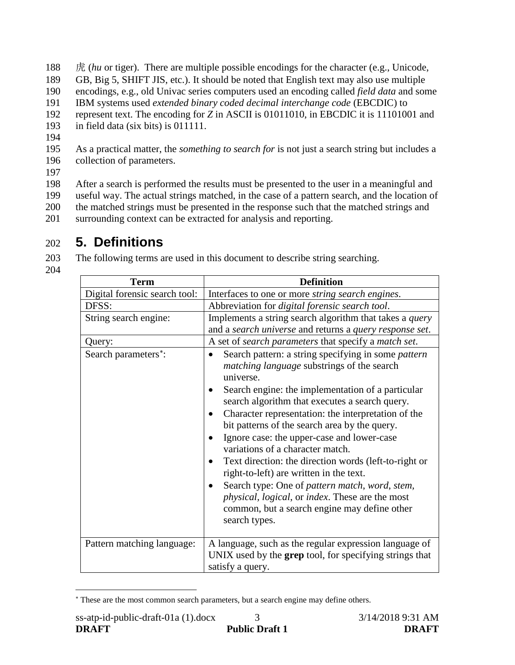188 虎 (*hu* or tiger). There are multiple possible encodings for the character (e.g., Unicode,

- 189 GB, Big 5, SHIFT JIS, etc.). It should be noted that English text may also use multiple
- 190 encodings, e.g., old Univac series computers used an encoding called *field data* and some
- 191 IBM systems used *extended binary coded decimal interchange code* (EBCDIC) to
- 192 represent text. The encoding for *Z* in ASCII is 01011010, in EBCDIC it is 11101001 and
- 193 in field data (six bits) is 011111.
- 194
- 195 As a practical matter, the *something to search for* is not just a search string but includes a 196 collection of parameters.
- 197

 After a search is performed the results must be presented to the user in a meaningful and useful way. The actual strings matched, in the case of a pattern search, and the location of the matched strings must be presented in the response such that the matched strings and surrounding context can be extracted for analysis and reporting.

# <span id="page-7-0"></span>202 **5. Definitions**

203 The following terms are used in this document to describe string searching.

204

| <b>Term</b>                   | <b>Definition</b>                                                                                                                                                                                                                                                                                                                                                                                                                                                                                                                                                                                                                                                                                |  |  |
|-------------------------------|--------------------------------------------------------------------------------------------------------------------------------------------------------------------------------------------------------------------------------------------------------------------------------------------------------------------------------------------------------------------------------------------------------------------------------------------------------------------------------------------------------------------------------------------------------------------------------------------------------------------------------------------------------------------------------------------------|--|--|
| Digital forensic search tool: | Interfaces to one or more <i>string search engines</i> .                                                                                                                                                                                                                                                                                                                                                                                                                                                                                                                                                                                                                                         |  |  |
| DFSS:                         | Abbreviation for digital forensic search tool.                                                                                                                                                                                                                                                                                                                                                                                                                                                                                                                                                                                                                                                   |  |  |
| String search engine:         | Implements a string search algorithm that takes a <i>query</i><br>and a search universe and returns a query response set.                                                                                                                                                                                                                                                                                                                                                                                                                                                                                                                                                                        |  |  |
| Query:                        | A set of <i>search parameters</i> that specify a <i>match set</i> .                                                                                                                                                                                                                                                                                                                                                                                                                                                                                                                                                                                                                              |  |  |
| Search parameters*:           | Search pattern: a string specifying in some pattern<br><i>matching language</i> substrings of the search<br>universe.<br>Search engine: the implementation of a particular<br>search algorithm that executes a search query.<br>Character representation: the interpretation of the<br>bit patterns of the search area by the query.<br>Ignore case: the upper-case and lower-case<br>variations of a character match.<br>Text direction: the direction words (left-to-right or<br>right-to-left) are written in the text.<br>Search type: One of pattern match, word, stem,<br>physical, logical, or index. These are the most<br>common, but a search engine may define other<br>search types. |  |  |
| Pattern matching language:    | A language, such as the regular expression language of<br>UNIX used by the grep tool, for specifying strings that<br>satisfy a query.                                                                                                                                                                                                                                                                                                                                                                                                                                                                                                                                                            |  |  |

<span id="page-7-1"></span><sup>∗</sup> These are the most common search parameters, but a search engine may define others.

 $\overline{a}$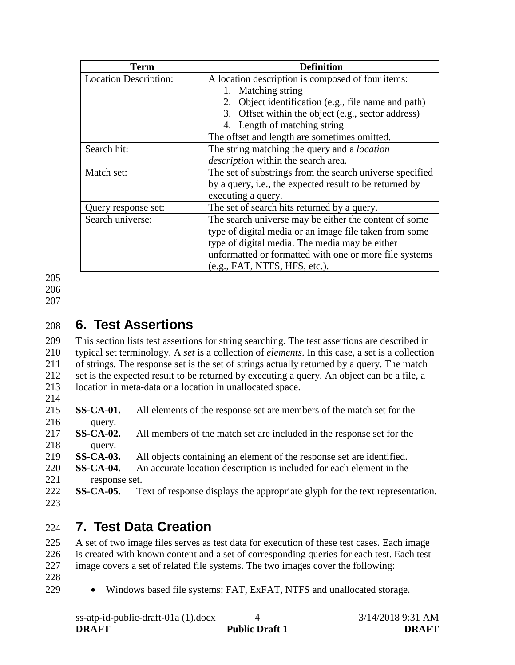| <b>Term</b>                  | <b>Definition</b>                                        |  |  |
|------------------------------|----------------------------------------------------------|--|--|
| <b>Location Description:</b> | A location description is composed of four items:        |  |  |
|                              | Matching string                                          |  |  |
|                              | 2. Object identification (e.g., file name and path)      |  |  |
|                              | 3. Offset within the object (e.g., sector address)       |  |  |
|                              | 4. Length of matching string                             |  |  |
|                              | The offset and length are sometimes omitted.             |  |  |
| Search hit:                  | The string matching the query and a <i>location</i>      |  |  |
|                              | <i>description</i> within the search area.               |  |  |
| Match set:                   | The set of substrings from the search universe specified |  |  |
|                              | by a query, i.e., the expected result to be returned by  |  |  |
|                              | executing a query.                                       |  |  |
| Query response set:          | The set of search hits returned by a query.              |  |  |
| Search universe:             | The search universe may be either the content of some    |  |  |
|                              | type of digital media or an image file taken from some   |  |  |
|                              | type of digital media. The media may be either           |  |  |
|                              | unformatted or formatted with one or more file systems   |  |  |
|                              | (e.g., FAT, NTFS, HFS, etc.).                            |  |  |

206

<span id="page-8-0"></span>207

# 208 **6. Test Assertions**

 This section lists test assertions for string searching. The test assertions are described in typical set terminology. A *set* is a collection of *elements*. In this case, a set is a collection of strings. The response set is the set of strings actually returned by a query. The match set is the expected result to be returned by executing a query. An object can be a file, a location in meta-data or a location in unallocated space. 214

- 215 **SS-CA-01.** All elements of the response set are members of the match set for the 216 query.
- 217 **SS-CA-02.** All members of the match set are included in the response set for the 218 query.
- 219 **SS-CA-03.** All objects containing an element of the response set are identified.
- 220 **SS-CA-04.** An accurate location description is included for each element in the 221 response set.
- 222 **SS-CA-05.** Text of response displays the appropriate glyph for the text representation. 223

# <span id="page-8-1"></span>224 **7. Test Data Creation**

225 A set of two image files serves as test data for execution of these test cases. Each image 226 is created with known content and a set of corresponding queries for each test. Each test 227 image covers a set of related file systems. The two images cover the following:

- 228
- 229 Windows based file systems: FAT, ExFAT, NTFS and unallocated storage.

| $ss$ -atp-id-public-draft-01a (1).docx |                       | 3/14/2018 9:31 AM |
|----------------------------------------|-----------------------|-------------------|
| <b>DRAFT</b>                           | <b>Public Draft 1</b> | <b>DRAFT</b>      |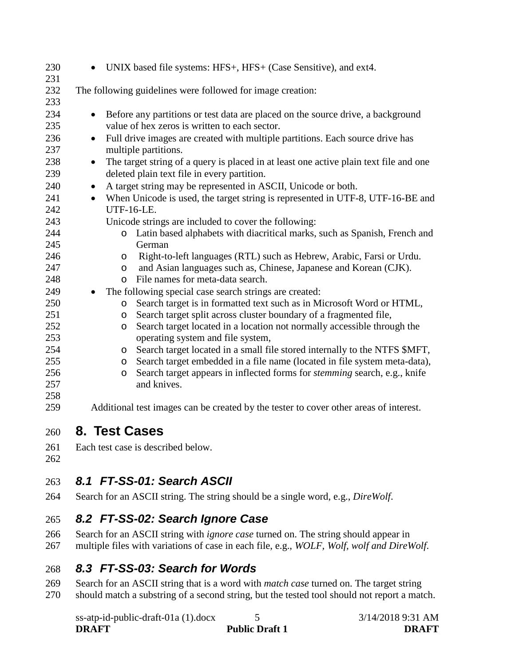| 230        | UNIX based file systems: HFS+, HFS+ (Case Sensitive), and ext4.                                    |
|------------|----------------------------------------------------------------------------------------------------|
| 231<br>232 | The following guidelines were followed for image creation:                                         |
| 233        |                                                                                                    |
| 234        | Before any partitions or test data are placed on the source drive, a background<br>$\bullet$       |
| 235        | value of hex zeros is written to each sector.                                                      |
| 236        | Full drive images are created with multiple partitions. Each source drive has<br>$\bullet$         |
| 237        | multiple partitions.                                                                               |
| 238        | The target string of a query is placed in at least one active plain text file and one<br>$\bullet$ |
| 239        | deleted plain text file in every partition.                                                        |
| 240        | A target string may be represented in ASCII, Unicode or both.<br>$\bullet$                         |
| 241        | When Unicode is used, the target string is represented in UTF-8, UTF-16-BE and<br>$\bullet$        |
| 242        | <b>UTF-16-LE.</b>                                                                                  |
| 243        | Unicode strings are included to cover the following:                                               |
| 244        | Latin based alphabets with diacritical marks, such as Spanish, French and<br>$\circ$               |
| 245        | German                                                                                             |
| 246        | Right-to-left languages (RTL) such as Hebrew, Arabic, Farsi or Urdu.<br>$\circ$                    |
| 247        | and Asian languages such as, Chinese, Japanese and Korean (CJK).<br>O                              |
| 248        | File names for meta-data search.<br>$\Omega$                                                       |
| 249        | The following special case search strings are created:                                             |
| 250        | Search target is in formatted text such as in Microsoft Word or HTML,<br>$\circ$                   |
| 251        | Search target split across cluster boundary of a fragmented file,<br>$\circ$                       |
| 252        | Search target located in a location not normally accessible through the<br>$\circ$                 |
| 253        | operating system and file system,                                                                  |
| 254        | Search target located in a small file stored internally to the NTFS \$MFT,<br>$\circ$              |
| 255        | Search target embedded in a file name (located in file system meta-data),<br>O                     |
| 256        | Search target appears in inflected forms for <i>stemming</i> search, e.g., knife<br>$\circ$        |
| 257        | and knives.                                                                                        |
| 258        |                                                                                                    |
| 259        | Additional test images can be created by the tester to cover other areas of interest.              |
|            |                                                                                                    |

# <span id="page-9-0"></span>**8. Test Cases**

Each test case is described below.

# <span id="page-9-1"></span>*8.1 FT-SS-01: Search ASCII*

Search for an ASCII string. The string should be a single word, e.g., *DireWolf*.

# <span id="page-9-2"></span>*8.2 FT-SS-02: Search Ignore Case*

 Search for an ASCII string with *ignore case* turned on. The string should appear in multiple files with variations of case in each file, e.g., *WOLF, Wolf, wolf and DireWolf*.

# <span id="page-9-3"></span>*8.3 FT-SS-03: Search for Words*

 Search for an ASCII string that is a word with *match case* turned on. The target string should match a substring of a second string, but the tested tool should not report a match.

| $ss$ -atp-id-public-draft-01a (1).docx |                       | 3/14/2018 9:31 AM |
|----------------------------------------|-----------------------|-------------------|
| <b>DRAFT</b>                           | <b>Public Draft 1</b> | <b>DRAFT</b>      |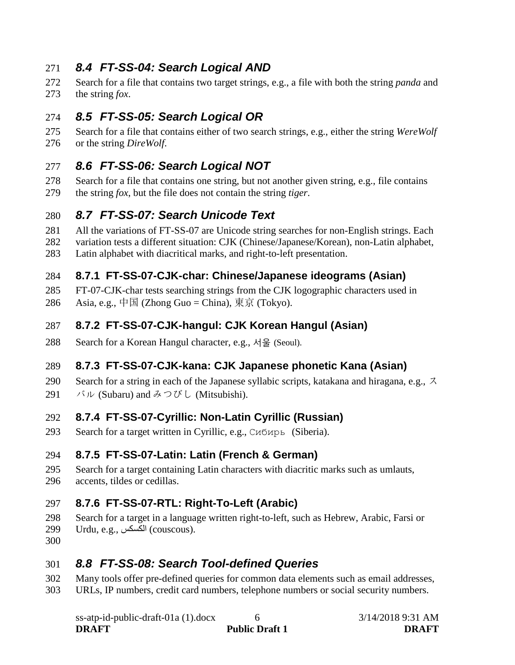## <span id="page-10-0"></span>271 *8.4 FT-SS-04: Search Logical AND*

- 272 Search for a file that contains two target strings, e.g., a file with both the string *panda* and
- <span id="page-10-1"></span>273 the string *fox*.

# 274 *8.5 FT-SS-05: Search Logical OR*

275 Search for a file that contains either of two search strings, e.g., either the string *WereWolf* 276 or the string *DireWolf*.

### <span id="page-10-2"></span>277 *8.6 FT-SS-06: Search Logical NOT*

278 Search for a file that contains one string, but not another given string, e.g., file contains 279 the string *fox*, but the file does not contain the string *tiger*.

## <span id="page-10-3"></span>280 *8.7 FT-SS-07: Search Unicode Text*

- 281 All the variations of FT-SS-07 are Unicode string searches for non-English strings. Each
- 282 variation tests a different situation: CJK (Chinese/Japanese/Korean), non-Latin alphabet,
- <span id="page-10-4"></span>283 Latin alphabet with diacritical marks, and right-to-left presentation.

#### 284 **8.7.1 FT-SS-07-CJK-char: Chinese/Japanese ideograms (Asian)**

- 285 FT-07-CJK-char tests searching strings from the CJK logographic characters used in
- 286 Asia, e.g., 中国 (Zhong Guo = China), 東京 (Tokyo).

### <span id="page-10-5"></span>287 **8.7.2 FT-SS-07-CJK-hangul: CJK Korean Hangul (Asian)**

288 Search for a Korean Hangul character, e.g., 서울 (Seoul).

### <span id="page-10-6"></span>289 **8.7.3 FT-SS-07-CJK-kana: CJK Japanese phonetic Kana (Asian)**

- 290 Search for a string in each of the Japanese syllabic scripts, katakana and hiragana, e.g.,  $\lambda$
- 291  $\forall$   $\nu$  (Subaru) and みつびし (Mitsubishi).

### <span id="page-10-7"></span>292 **8.7.4 FT-SS-07-Cyrillic: Non-Latin Cyrillic (Russian)**

293 Search for a target written in Cyrillic, e.g., Сибирь (Siberia).

#### <span id="page-10-8"></span>294 **8.7.5 FT-SS-07-Latin: Latin (French & German)**

- 295 Search for a target containing Latin characters with diacritic marks such as umlauts,
- <span id="page-10-9"></span>296 accents, tildes or cedillas.

### 297 **8.7.6 FT-SS-07-RTL: Right-To-Left (Arabic)**

- 298 Search for a target in a language written right-to-left, such as Hebrew, Arabic, Farsi or
- 299 Urdu, e.g., الكسكس) couscous).
- 300

## <span id="page-10-10"></span>301 *8.8 FT-SS-08: Search Tool-defined Queries*

- 302 Many tools offer pre-defined queries for common data elements such as email addresses,
- 303 URLs, IP numbers, credit card numbers, telephone numbers or social security numbers.

| ss-atp-id-public-draft-01a (1).docx |                       | 3/14/2018 9:31 AM |
|-------------------------------------|-----------------------|-------------------|
| <b>DRAFT</b>                        | <b>Public Draft 1</b> | <b>DRAFT</b>      |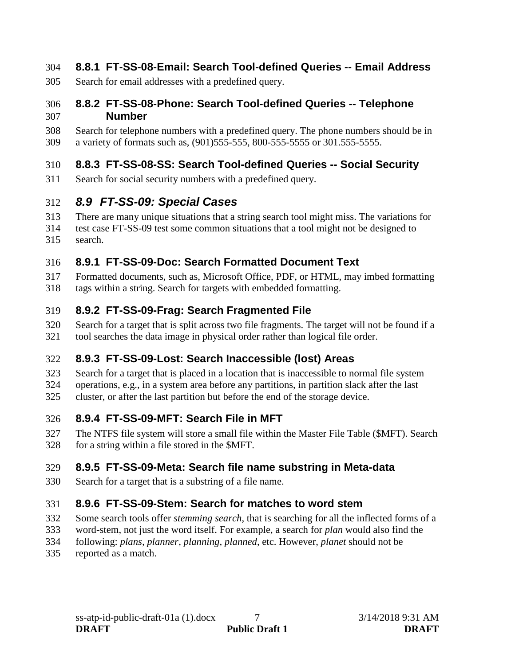#### <span id="page-11-0"></span>304 **8.8.1 FT-SS-08-Email: Search Tool-defined Queries -- Email Address**

305 Search for email addresses with a predefined query.

#### <span id="page-11-1"></span>306 **8.8.2 FT-SS-08-Phone: Search Tool-defined Queries -- Telephone**  307 **Number**

308 Search for telephone numbers with a predefined query. The phone numbers should be in 309 a variety of formats such as, (901)555-555, 800-555-5555 or 301.555-5555.

#### <span id="page-11-2"></span>310 **8.8.3 FT-SS-08-SS: Search Tool-defined Queries -- Social Security**

311 Search for social security numbers with a predefined query.

# <span id="page-11-3"></span>312 *8.9 FT-SS-09: Special Cases*

- 313 There are many unique situations that a string search tool might miss. The variations for
- 314 test case FT-SS-09 test some common situations that a tool might not be designed to
- <span id="page-11-4"></span>315 search.

### 316 **8.9.1 FT-SS-09-Doc: Search Formatted Document Text**

- 317 Formatted documents, such as, Microsoft Office, PDF, or HTML, may imbed formatting
- 318 tags within a string. Search for targets with embedded formatting.

## <span id="page-11-5"></span>319 **8.9.2 FT-SS-09-Frag: Search Fragmented File**

320 Search for a target that is split across two file fragments. The target will not be found if a 321 tool searches the data image in physical order rather than logical file order.

### <span id="page-11-6"></span>322 **8.9.3 FT-SS-09-Lost: Search Inaccessible (lost) Areas**

- 323 Search for a target that is placed in a location that is inaccessible to normal file system
- 324 operations, e.g., in a system area before any partitions, in partition slack after the last
- <span id="page-11-7"></span>325 cluster, or after the last partition but before the end of the storage device.

### 326 **8.9.4 FT-SS-09-MFT: Search File in MFT**

327 The NTFS file system will store a small file within the Master File Table (\$MFT). Search 328 for a string within a file stored in the \$MFT.

## <span id="page-11-8"></span>329 **8.9.5 FT-SS-09-Meta: Search file name substring in Meta-data**

330 Search for a target that is a substring of a file name.

## <span id="page-11-9"></span>331 **8.9.6 FT-SS-09-Stem: Search for matches to word stem**

- 332 Some search tools offer *stemming search*, that is searching for all the inflected forms of a
- 333 word-stem, not just the word itself. For example, a search for *plan* would also find the
- 334 following: *plans, planner, planning, planned*, etc. However, *planet* should not be
- 335 reported as a match.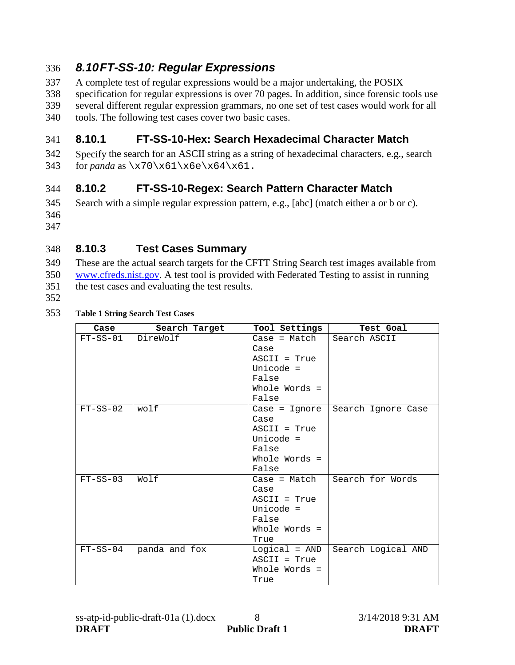# <span id="page-12-0"></span>336 *8.10FT-SS-10: Regular Expressions*

- 337 A complete test of regular expressions would be a major undertaking, the POSIX
- 338 specification for regular expressions is over 70 pages. In addition, since forensic tools use
- 339 several different regular expression grammars, no one set of test cases would work for all
- 340 tools. The following test cases cover two basic cases.

## <span id="page-12-1"></span>341 **8.10.1 FT-SS-10-Hex: Search Hexadecimal Character Match**

342 Specify the search for an ASCII string as a string of hexadecimal characters, e.g., search 343 for *panda* as \x70\x61\x6e\x64\x61.

# <span id="page-12-2"></span>344 **8.10.2 FT-SS-10-Regex: Search Pattern Character Match**

- 345 Search with a simple regular expression pattern, e.g., [abc] (match either a or b or c). 346
- 347

## <span id="page-12-3"></span>348 **8.10.3 Test Cases Summary**

- 349 These are the actual search targets for the CFTT String Search test images available from 350 [www.cfreds.nist.gov.](http://www.cfreds.nist.gov/) A test tool is provided with Federated Testing to assist in running 351 the test cases and evaluating the test results.
- 
- 352

#### 353 **Table 1 String Search Test Cases**

| Case       | Search Target | Tool Settings   | Test Goal          |
|------------|---------------|-----------------|--------------------|
| $FT-SS-01$ | DireWolf      | $Case = Match$  | Search ASCII       |
|            |               | Case            |                    |
|            |               | $ASCII = True$  |                    |
|            |               | Unicode $=$     |                    |
|            |               | False           |                    |
|            |               | Whole Words =   |                    |
|            |               | False           |                    |
| $FT-SS-02$ | wolf          | Case = Ignore   | Search Ignore Case |
|            |               | Case            |                    |
|            |               | $ASCII = True$  |                    |
|            |               | Unicode $=$     |                    |
|            |               | False           |                    |
|            |               | Whole Words =   |                    |
|            |               | False           |                    |
| $FT-SS-03$ | Wolf          | $Case = Match$  | Search for Words   |
|            |               | Case            |                    |
|            |               | $ASCII = True$  |                    |
|            |               | Unicode $=$     |                    |
|            |               | False           |                    |
|            |               | Whole Words =   |                    |
|            |               | True            |                    |
| $FT-SS-04$ | panda and fox | $Logical = AND$ | Search Logical AND |
|            |               | $ASCII = True$  |                    |
|            |               | Whole Words =   |                    |
|            |               | True            |                    |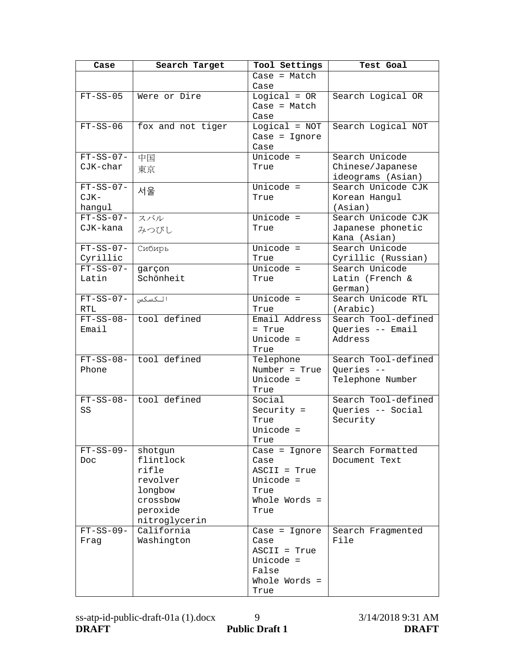| Case        | Search Target          | Tool Settings          | Test Goal           |
|-------------|------------------------|------------------------|---------------------|
|             |                        | $Case = Match$         |                     |
|             |                        | Case                   |                     |
| $FT-SS-05$  | Were or Dire           | $Logical = OR$         | Search Logical OR   |
|             |                        | $Case = Match$         |                     |
|             |                        | Case                   |                     |
| $FT-SS-06$  | fox and not tiger      | $Logical = NOT$        | Search Logical NOT  |
|             |                        | $Case = Ignore$        |                     |
|             |                        | Case                   |                     |
| $FT-SS-07-$ | 中国                     | Unicode $=$            | Search Unicode      |
| CJK-char    | 東京                     | True                   | Chinese/Japanese    |
|             |                        |                        | ideograms (Asian)   |
| $FT-SS-07-$ | 서울                     | Unicode =              | Search Unicode CJK  |
| $CJK-$      |                        | True                   | Korean Hangul       |
| hangul      |                        |                        | (Asian)             |
| $FT-SS-07-$ | スバル                    | $\overline{$ Unicode = | Search Unicode CJK  |
| CJK-kana    | みつびし                   | True                   | Japanese phonetic   |
|             |                        |                        | Kana (Asian)        |
| $FT-SS-07-$ | Сибирь                 | Unicode =              | Search Unicode      |
| Cyrillic    |                        | True                   | Cyrillic (Russian)  |
| $FT-SS-07-$ | garçon                 | Unicode =              | Search Unicode      |
| Latin       | Schönheit              | True                   | Latin (French &     |
|             |                        |                        | German)             |
| $FT-SS-07-$ | الكسكس                 | Unicode =              | Search Unicode RTL  |
| <b>RTL</b>  |                        | True                   | (Arabic)            |
| $FT-SS-08-$ | tool defined           | Email Address          | Search Tool-defined |
| Email       |                        | = True                 | Queries -- Email    |
|             |                        | Unicode =              | Address             |
|             |                        | True                   |                     |
|             | FT-SS-08- tool defined | Telephone              | Search Tool-defined |
| Phone       |                        | Number = True          | Queries --          |
|             |                        | Unicode =              | Telephone Number    |
|             | FT-SS-08- tool defined | True                   | Search Tool-defined |
| SS          |                        | Social                 | Queries -- Social   |
|             |                        | Security $=$<br>True   |                     |
|             |                        | Unicode =              | Security            |
|             |                        | True                   |                     |
| $FT-SS-09-$ | shotgun                | $Case = Ignore$        | Search Formatted    |
| Doc.        | flintlock              | Case                   | Document Text       |
|             | rifle                  | ASCII = True           |                     |
|             | revolver               | Unicode =              |                     |
|             | longbow                | True                   |                     |
|             | crossbow               | Whole Words =          |                     |
|             | peroxide               | True                   |                     |
|             | nitroglycerin          |                        |                     |
| $FT-SS-09-$ | California             | $Case = Ignore$        | Search Fragmented   |
| Fraq        | Washington             | Case                   | File                |
|             |                        | ASCII = True           |                     |
|             |                        | Unicode =              |                     |
|             |                        | False                  |                     |
|             |                        | Whole Words =          |                     |
|             |                        | True                   |                     |